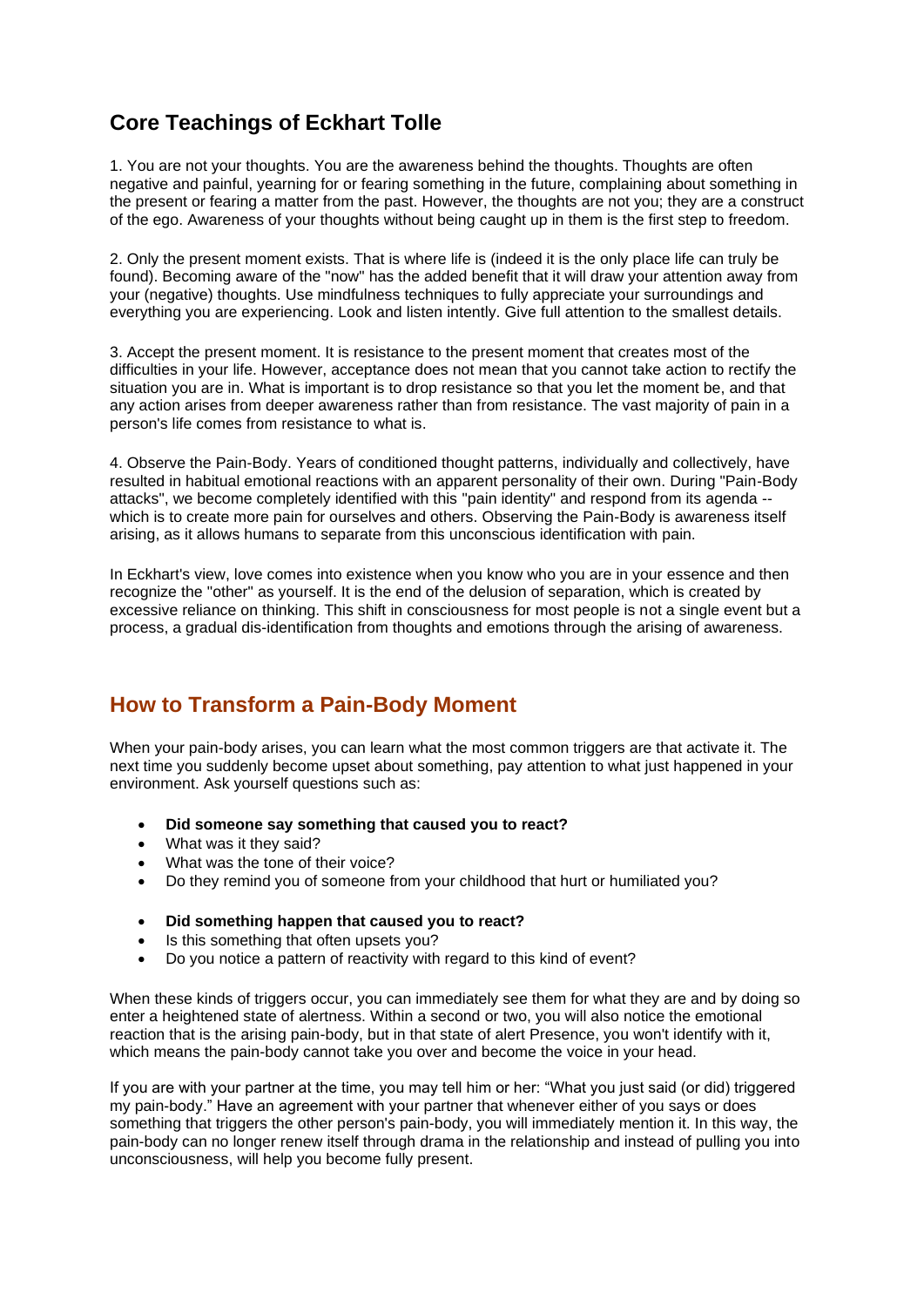## **Core Teachings of Eckhart Tolle**

1. You are not your thoughts. You are the awareness behind the thoughts. Thoughts are often negative and painful, yearning for or fearing something in the future, complaining about something in the present or fearing a matter from the past. However, the thoughts are not you; they are a construct of the ego. Awareness of your thoughts without being caught up in them is the first step to freedom.

2. Only the present moment exists. That is where life is (indeed it is the only place life can truly be found). Becoming aware of the "now" has the added benefit that it will draw your attention away from your (negative) thoughts. Use mindfulness techniques to fully appreciate your surroundings and everything you are experiencing. Look and listen intently. Give full attention to the smallest details.

3. Accept the present moment. It is resistance to the present moment that creates most of the difficulties in your life. However, acceptance does not mean that you cannot take action to rectify the situation you are in. What is important is to drop resistance so that you let the moment be, and that any action arises from deeper awareness rather than from resistance. The vast majority of pain in a person's life comes from resistance to what is.

4. Observe the Pain-Body. Years of conditioned thought patterns, individually and collectively, have resulted in habitual emotional reactions with an apparent personality of their own. During "Pain-Body attacks", we become completely identified with this "pain identity" and respond from its agenda - which is to create more pain for ourselves and others. Observing the Pain-Body is awareness itself arising, as it allows humans to separate from this unconscious identification with pain.

In Eckhart's view, love comes into existence when you know who you are in your essence and then recognize the "other" as yourself. It is the end of the delusion of separation, which is created by excessive reliance on thinking. This shift in consciousness for most people is not a single event but a process, a gradual dis-identification from thoughts and emotions through the arising of awareness.

## **How to Transform a Pain-Body Moment**

When your pain-body arises, you can learn what the most common triggers are that activate it. The next time you suddenly become upset about something, pay attention to what just happened in your environment. Ask yourself questions such as:

- **Did someone say something that caused you to react?**
- What was it they said?
- What was the tone of their voice?
- Do they remind you of someone from your childhood that hurt or humiliated you?
- **Did something happen that caused you to react?**
- Is this something that often upsets you?
- Do you notice a pattern of reactivity with regard to this kind of event?

When these kinds of triggers occur, you can immediately see them for what they are and by doing so enter a heightened state of alertness. Within a second or two, you will also notice the emotional reaction that is the arising pain-body, but in that state of alert Presence, you won't identify with it, which means the pain-body cannot take you over and become the voice in your head.

If you are with your partner at the time, you may tell him or her: "What you just said (or did) triggered my pain-body." Have an agreement with your partner that whenever either of you says or does something that triggers the other person's pain-body, you will immediately mention it. In this way, the pain-body can no longer renew itself through drama in the relationship and instead of pulling you into unconsciousness, will help you become fully present.